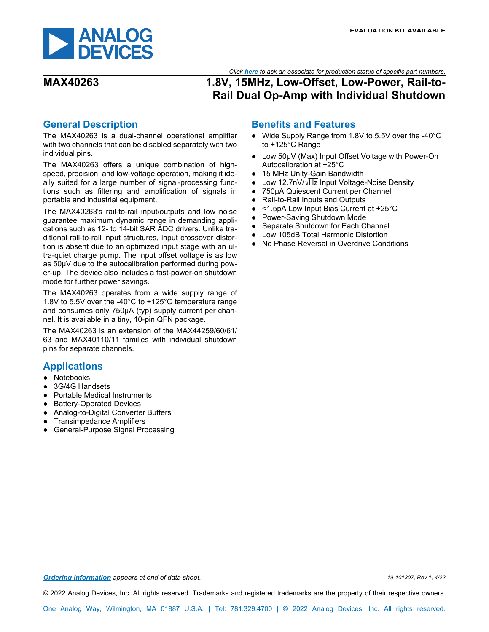

### *Click [here](https://www.maximintegrated.com/en/storefront/storefront.html) to ask an associate for production status of specific part numbers.*

## **MAX40263 1.8V, 15MHz, Low-Offset, Low-Power, Rail-to-Rail Dual Op-Amp with Individual Shutdown**

### <span id="page-0-0"></span>**General Description**

The MAX40263 is a dual-channel operational amplifier with two channels that can be disabled separately with two individual pins.

The MAX40263 offers a unique combination of highspeed, precision, and low-voltage operation, making it ideally suited for a large number of signal-processing functions such as filtering and amplification of signals in portable and industrial equipment.

The MAX40263's rail-to-rail input/outputs and low noise guarantee maximum dynamic range in demanding applications such as 12- to 14-bit SAR ADC drivers. Unlike traditional rail-to-rail input structures, input crossover distortion is absent due to an optimized input stage with an ultra-quiet charge pump. The input offset voltage is as low as 50μV due to the autocalibration performed during power-up. The device also includes a fast-power-on shutdown mode for further power savings.

The MAX40263 operates from a wide supply range of 1.8V to 5.5V over the -40°C to +125°C temperature range and consumes only 750μA (typ) supply current per channel. It is available in a tiny, 10-pin QFN package.

The MAX40263 is an extension of the MAX44259/60/61/ 63 and MAX40110/11 families with individual shutdown pins for separate channels.

### <span id="page-0-1"></span>**Applications**

- Notebooks
- 3G/4G Handsets
- Portable Medical Instruments
- Battery-Operated Devices
- Analog-to-Digital Converter Buffers
- **Transimpedance Amplifiers**
- **General-Purpose Signal Processing**

### **Benefits and Features**

- Wide Supply Range from 1.8V to 5.5V over the -40°C to +125°C Range
- Low 50μV (Max) Input Offset Voltage with Power-On Autocalibration at +25°C
- 15 MHz Unity-Gain Bandwidth
- Low 12.7nV/√Hz Input Voltage-Noise Density
- 750μA Quiescent Current per Channel
- Rail-to-Rail Inputs and Outputs
- <1.5pA Low Input Bias Current at +25°C
- Power-Saving Shutdown Mode
- Separate Shutdown for Each Channel
- Low 105dB Total Harmonic Distortion
- No Phase Reversal in Overdrive Conditions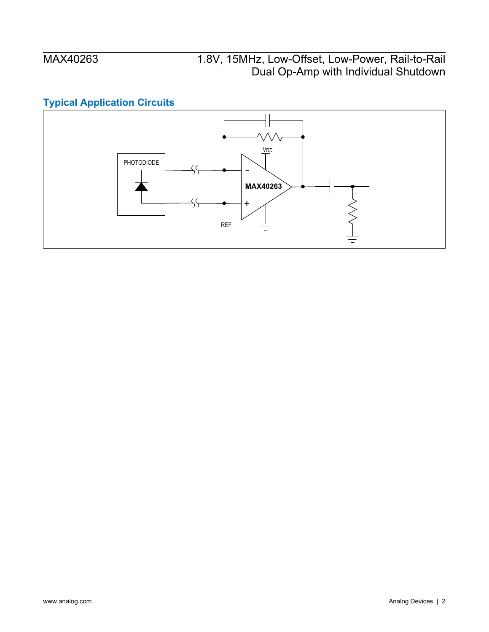## <span id="page-1-0"></span>**Typical Application Circuits**

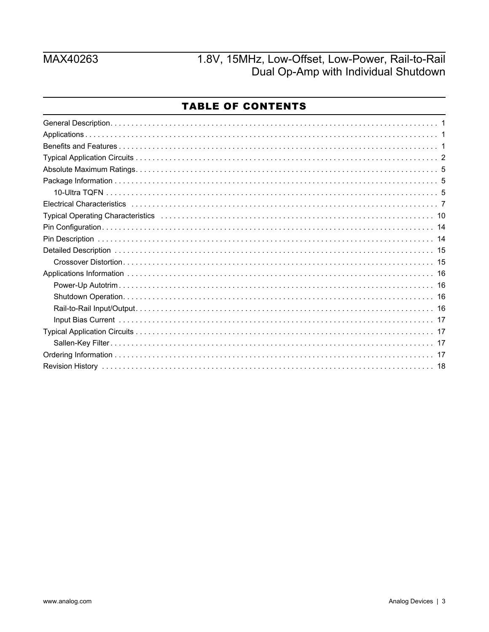## MAX40263

# 1.8V, 15MHz, Low-Offset, Low-Power, Rail-to-Rail Dual Op-Amp with Individual Shutdown

### **TABLE OF CONTENTS**

| Typical Operating Characteristics (and according to the control of the control of the control of the control of the control of the control of the control of the control of the control of the control of the control of the c |
|--------------------------------------------------------------------------------------------------------------------------------------------------------------------------------------------------------------------------------|
|                                                                                                                                                                                                                                |
|                                                                                                                                                                                                                                |
|                                                                                                                                                                                                                                |
|                                                                                                                                                                                                                                |
|                                                                                                                                                                                                                                |
|                                                                                                                                                                                                                                |
|                                                                                                                                                                                                                                |
|                                                                                                                                                                                                                                |
|                                                                                                                                                                                                                                |
|                                                                                                                                                                                                                                |
|                                                                                                                                                                                                                                |
|                                                                                                                                                                                                                                |
|                                                                                                                                                                                                                                |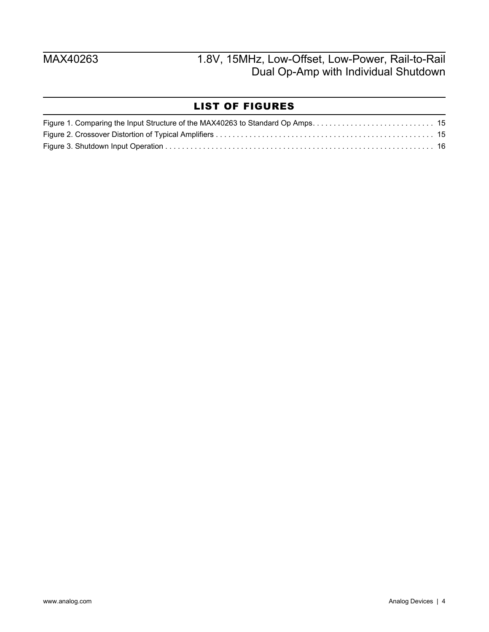## LIST OF FIGURES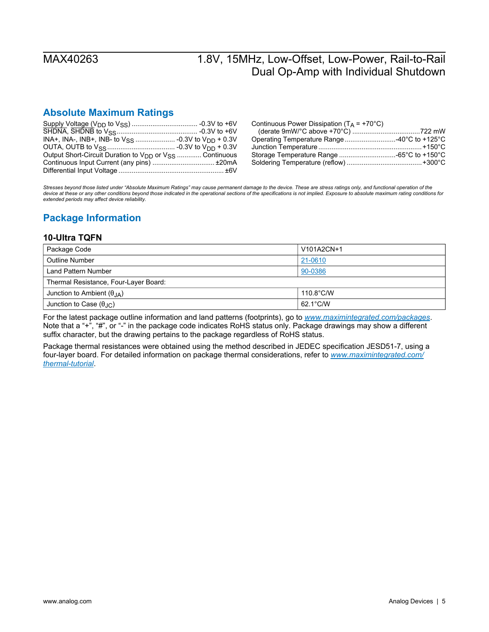### <span id="page-4-0"></span>**Absolute Maximum Ratings**

| Output Short-Circuit Duration to V <sub>DD</sub> or V <sub>SS</sub> Continuous |  |
|--------------------------------------------------------------------------------|--|
| Continuous Input Current (any pins)  ±20mA                                     |  |
|                                                                                |  |

| Continuous Power Dissipation ( $T_A$ = +70°C) |  |
|-----------------------------------------------|--|
|                                               |  |
| Operating Temperature Range40°C to +125°C     |  |
|                                               |  |
|                                               |  |
|                                               |  |

*Stresses beyond those listed under "Absolute Maximum Ratings" may cause permanent damage to the device. These are stress ratings only, and functional operation of the*  device at these or any other conditions beyond those indicated in the operational sections of the specifications is not implied. Exposure to absolute maximum rating conditions for *extended periods may affect device reliability.* 

## <span id="page-4-1"></span>**Package Information**

### <span id="page-4-2"></span>**10-Ultra TQFN**

| Package Code                              | V101A2CN+1          |
|-------------------------------------------|---------------------|
| Outline Number                            | 21-0610             |
| Land Pattern Number                       | 90-0386             |
| Thermal Resistance, Four-Layer Board:     |                     |
| Junction to Ambient $(\theta_{J A})$      | $110.8^{\circ}$ C/W |
| Junction to Case $(\theta_{\cdot} \cdot)$ | 62.1°C/W            |

For the latest package outline information and land patterns (footprints), go to *[www.maximintegrated.com/packages](http://www.maximintegrated.com/packages)*. Note that a "+", "#", or "-" in the package code indicates RoHS status only. Package drawings may show a different suffix character, but the drawing pertains to the package regardless of RoHS status.

Package thermal resistances were obtained using the method described in JEDEC specification JESD51-7, using a four-layer board. For detailed information on package thermal considerations, refer to *[www.maximintegrated.com/](http://www.maximintegrated.com/thermal-tutorial) [thermal-tutorial](http://www.maximintegrated.com/thermal-tutorial)*.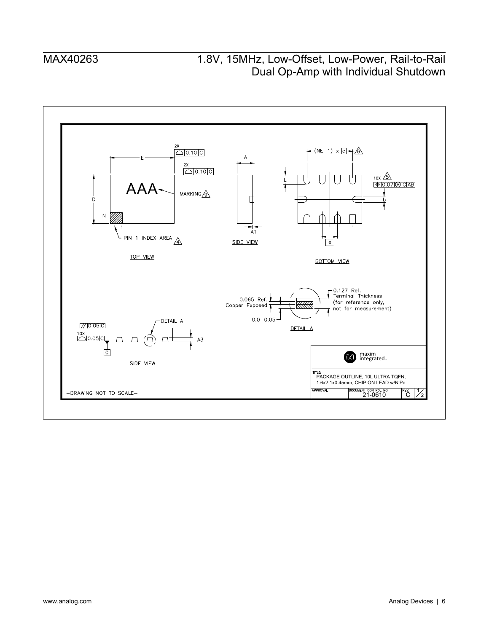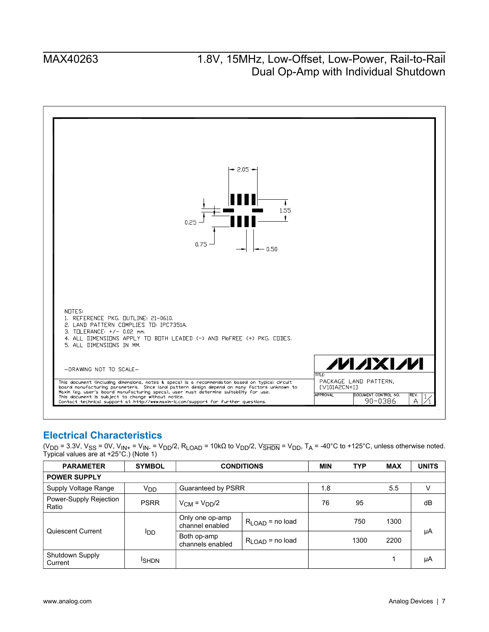

### <span id="page-6-0"></span>**Electrical Characteristics**

(V<sub>DD</sub> = 3.3V, V<sub>SS</sub> = 0V, V<sub>IN+</sub> = V<sub>IN-</sub> = V<sub>DD</sub>/2, R<sub>LOAD</sub> = 10kΩ to V<sub>DD</sub>/2, V<sub>SHDN</sub> = V<sub>DD</sub>, T<sub>A</sub> = -40°C to +125°C, unless otherwise noted. Typical values are at +25°C.) (Note 1)

| <b>PARAMETER</b>                | <b>SYMBOL</b>   |                                    | <b>CONDITIONS</b>           |     | <b>TYP</b> | <b>MAX</b> | <b>UNITS</b> |
|---------------------------------|-----------------|------------------------------------|-----------------------------|-----|------------|------------|--------------|
| <b>POWER SUPPLY</b>             |                 |                                    |                             |     |            |            |              |
| Supply Voltage Range            | V <sub>DD</sub> | Guaranteed by PSRR                 |                             | 1.8 |            | 5.5        | V            |
| Power-Supply Rejection<br>Ratio | <b>PSRR</b>     | $V_{CM} = V_{DD}/2$                |                             | 76  | 95         |            | dB           |
| Quiescent Current               |                 | Only one op-amp<br>channel enabled | $R_{\text{LOAD}}$ = no load |     | 750        | 1300       |              |
|                                 | l <sub>DD</sub> | Both op-amp<br>channels enabled    | $R_{\text{LOAD}}$ = no load |     | 1300       | 2200       | μA           |
| Shutdown Supply<br>Current      | <b>ISHDN</b>    |                                    |                             |     |            |            | μA           |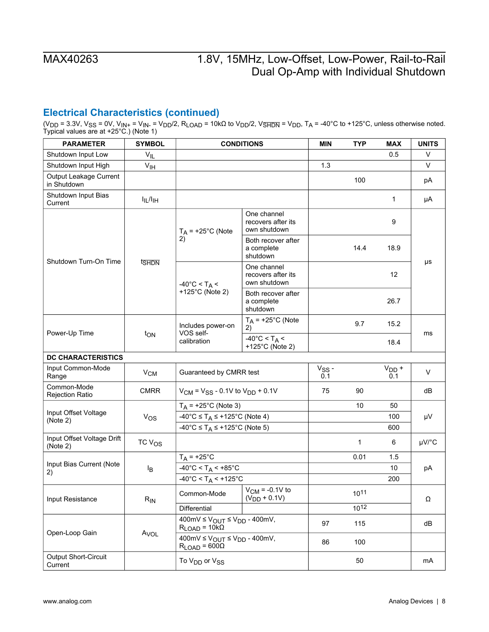## **Electrical Characteristics (continued)**

(V<sub>DD</sub> = 3.3V, V<sub>SS</sub> = 0V, V<sub>IN+</sub> = V<sub>IN-</sub> = V<sub>DD</sub>/2, R<sub>LOAD</sub> = 10kΩ to V<sub>DD</sub>/2, V<sub>SHDN</sub> = V<sub>DD</sub>, T<sub>A</sub> = -40°C to +125°C, unless otherwise noted. Typical values are at +25°C.) (Note 1)

| <b>PARAMETER</b>                       | <b>SYMBOL</b>                    |                                                                                                    | <b>CONDITIONS</b>                                     | <b>MIN</b>        | <b>TYP</b> | <b>MAX</b>     | <b>UNITS</b> |
|----------------------------------------|----------------------------------|----------------------------------------------------------------------------------------------------|-------------------------------------------------------|-------------------|------------|----------------|--------------|
| Shutdown Input Low                     | $V_{IL}$                         |                                                                                                    |                                                       |                   |            | 0.5            | V            |
| Shutdown Input High                    | V <sub>IH</sub>                  |                                                                                                    |                                                       | 1.3               |            |                | V            |
| Output Leakage Current<br>in Shutdown  |                                  |                                                                                                    |                                                       |                   | 100        |                | pA           |
| Shutdown Input Bias<br>Current         | $I_{IL}/I_{IH}$                  |                                                                                                    |                                                       |                   |            | 1              | μA           |
|                                        |                                  | $T_A$ = +25°C (Note                                                                                | One channel<br>recovers after its<br>own shutdown     |                   |            | 9              |              |
| Shutdown Turn-On Time                  |                                  | 2)                                                                                                 | Both recover after<br>a complete<br>shutdown          |                   | 14.4       | 18.9           |              |
|                                        | t <sub>SHDN</sub>                | $-40^{\circ}$ C < T <sub>A</sub> <                                                                 | One channel<br>recovers after its<br>own shutdown     |                   |            | 12             | μs           |
|                                        |                                  | +125°C (Note 2)                                                                                    | Both recover after<br>a complete<br>shutdown          |                   |            | 26.7           |              |
|                                        |                                  | Includes power-on                                                                                  | $T_A$ = +25°C (Note<br>2)                             |                   | 9.7        | 15.2           |              |
|                                        | Power-Up Time<br>t <sub>ON</sub> | VOS self-<br>calibration                                                                           | $-40^{\circ}$ C < T <sub>A</sub> <<br>+125°C (Note 2) |                   |            | 18.4           | ms           |
| <b>DC CHARACTERISTICS</b>              |                                  |                                                                                                    |                                                       |                   |            |                |              |
| Input Common-Mode<br>Range             | V <sub>CM</sub>                  | Guaranteed by CMRR test                                                                            |                                                       | $V_{SS}$ -<br>0.1 |            | $VDD$ +<br>0.1 | $\vee$       |
| Common-Mode<br><b>Rejection Ratio</b>  | <b>CMRR</b>                      | $V_{CM}$ = $V_{SS}$ - 0.1V to $V_{DD}$ + 0.1V                                                      |                                                       | 75                | 90         |                | dB           |
| Input Offset Voltage                   |                                  | $T_A$ = +25°C (Note 3)                                                                             |                                                       |                   | 10         | 50             |              |
| (Note 2)                               | $V_{OS}$                         | -40°C ≤ T <sub>A</sub> ≤ +125°C (Note 4)                                                           |                                                       |                   |            | 100            | μV           |
|                                        |                                  | -40°C $\leq$ T <sub>A</sub> $\leq$ +125°C (Note 5)                                                 |                                                       |                   |            | 600            |              |
| Input Offset Voltage Drift<br>(Note 2) | TC V <sub>OS</sub>               |                                                                                                    |                                                       |                   | 1          | 6              | µV/°C        |
|                                        |                                  | $T_A$ = +25°C                                                                                      |                                                       |                   | 0.01       | 1.5            |              |
| Input Bias Current (Note<br>2)         | Iв                               | $-40^{\circ}$ C < T <sub>A</sub> < $+85^{\circ}$ C                                                 |                                                       |                   |            | 10             | pA           |
|                                        |                                  | $-40^{\circ}$ C < T <sub>A</sub> < $+125^{\circ}$ C                                                |                                                       |                   |            | 200            |              |
| Input Resistance                       | $R_{IN}$                         | Common-Mode                                                                                        | $V_{CM}$ = -0.1V to<br>$(V_{DD} + 0.1V)$              |                   | 1011       |                | Ω            |
|                                        |                                  | Differential                                                                                       |                                                       |                   | 1012       |                |              |
| Open-Loop Gain                         |                                  | $400 \text{mV} \leq V_{\text{OUT}} \leq V_{\text{DD}} - 400 \text{mV}$ ,<br>$R_{LOAD} = 10k\Omega$ |                                                       | 97                | 115        |                | dB           |
|                                        | A <sub>VOL</sub>                 | $400 \text{mV} \leq V_{\text{OUT}} \leq V_{\text{DD}} - 400 \text{mV},$<br>$R_{LOAD} = 600\Omega$  |                                                       | 86                | 100        |                |              |
| Output Short-Circuit<br>Current        |                                  | To V <sub>DD</sub> or V <sub>SS</sub>                                                              |                                                       |                   | 50         |                | mA           |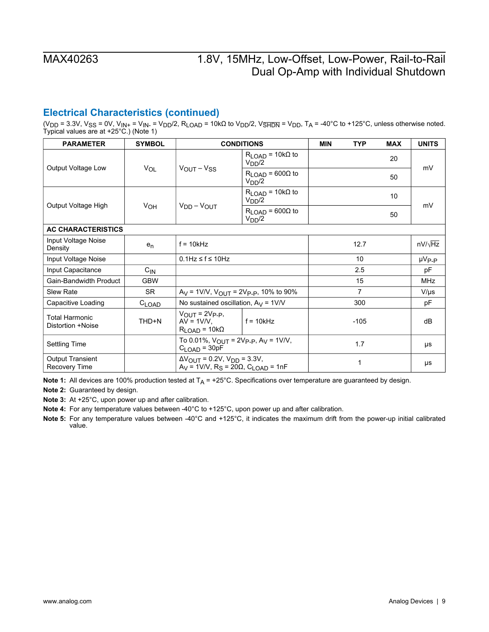### **Electrical Characteristics (continued)**

(V<sub>DD</sub> = 3.3V, V<sub>SS</sub> = 0V, V<sub>IN+</sub> = V<sub>IN-</sub> = V<sub>DD</sub>/2, R<sub>LOAD</sub> = 10kΩ to V<sub>DD</sub>/2, V<sub>SHDN</sub> = V<sub>DD</sub>, T<sub>A</sub> = -40°C to +125°C, unless otherwise noted. Typical values are at +25°C.) (Note 1)

| <b>PARAMETER</b>                                | <b>SYMBOL</b>   |                                                                                                                        | <b>CONDITIONS</b>                                  | <b>MIN</b> | <b>TYP</b>     | <b>MAX</b>      | <b>UNITS</b>      |
|-------------------------------------------------|-----------------|------------------------------------------------------------------------------------------------------------------------|----------------------------------------------------|------------|----------------|-----------------|-------------------|
| Output Voltage Low                              | <b>VOL</b>      |                                                                                                                        | $R_{LOAD}$ = 10k $\Omega$ to<br>$V_{DD}/2$         |            |                | 20              | mV                |
|                                                 |                 | $V_{\text{OUT}} - V_{\text{SS}}$                                                                                       | $R_{LOAD}$ = 600 $\Omega$ to<br>V <sub>DD</sub> /2 |            |                | 50              |                   |
| Output Voltage High                             |                 |                                                                                                                        | $R_{LOAD}$ = 10k $\Omega$ to<br>$V_{DD}/2$         |            |                | 10 <sup>1</sup> | mV                |
|                                                 | V <sub>OH</sub> | $V_{DD} - V_{OUT}$                                                                                                     | $R_{LOAD}$ = 600 $\Omega$ to<br>V <sub>DD</sub> /2 |            |                | 50              |                   |
| <b>AC CHARACTERISTICS</b>                       |                 |                                                                                                                        |                                                    |            |                |                 |                   |
| Input Voltage Noise<br>Density                  | $e_n$           | $f = 10kHz$                                                                                                            |                                                    |            | 12.7           |                 | $nV/\sqrt{Hz}$    |
| Input Voltage Noise                             |                 | $0.1$ Hz $\leq$ f $\leq$ 10Hz                                                                                          |                                                    |            | 10             |                 | µV <sub>P-P</sub> |
| Input Capacitance                               | $C_{\text{IN}}$ |                                                                                                                        |                                                    |            | 2.5            |                 | pF                |
| Gain-Bandwidth Product                          | <b>GBW</b>      |                                                                                                                        |                                                    |            | 15             |                 | <b>MHz</b>        |
| <b>Slew Rate</b>                                | <b>SR</b>       | $A_V = 1$ V/V, V <sub>OUT</sub> = 2V <sub>P-P</sub> , 10% to 90%                                                       |                                                    |            | $\overline{7}$ |                 | $V/\mu s$         |
| Capacitive Loading                              | $C_{LOAD}$      | No sustained oscillation, $A_V = 1$ V/V                                                                                |                                                    |            | 300            |                 | pF                |
| <b>Total Harmonic</b><br>Distortion +Noise      | THD+N           | $V_{\text{OUT}} = 2V_{\text{P-P}}$<br>$AV = 1V/V$<br>$R_{LOAD}$ = 10k $\Omega$                                         | $ f = 10k$ Hz                                      |            | $-105$         |                 | dB                |
| <b>Settling Time</b>                            |                 | To 0.01%, $V_{\text{OUT}} = 2V_{\text{P-P}}$ , A <sub>V</sub> = 1V/V,<br>$C_{\text{LOAD}} = 30pF$                      |                                                    |            | 1.7            |                 | μs                |
| <b>Output Transient</b><br><b>Recovery Time</b> |                 | $\Delta V_{\text{OUT}}$ = 0.2V, $V_{\text{DD}}$ = 3.3V,<br>$AV = 1V/V$ , R <sub>S</sub> = 20Ω, C <sub>LOAD</sub> = 1nF |                                                    |            | 1              |                 | μs                |

**Note 1:** All devices are 100% production tested at T<sub>A</sub> = +25°C. Specifications over temperature are guaranteed by design.

**Note 2:** Guaranteed by design.

**Note 3:** At +25°C, upon power up and after calibration.

**Note 4:** For any temperature values between -40°C to +125°C, upon power up and after calibration.

**Note 5:** For any temperature values between -40°C and +125°C, it indicates the maximum drift from the power-up initial calibrated value.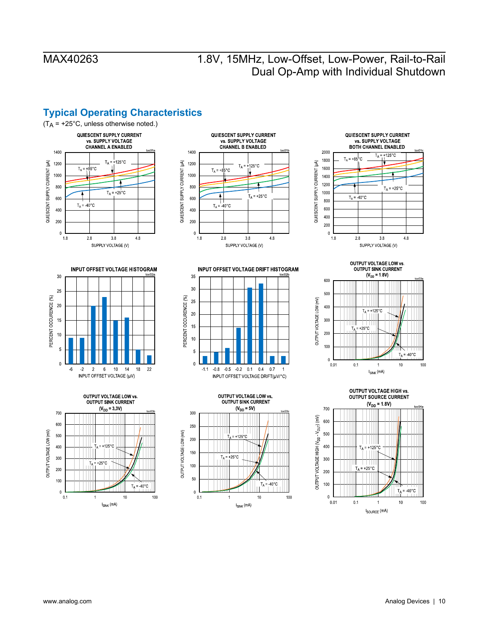## <span id="page-9-0"></span>**Typical Operating Characteristics**

















**OUTPUT VOLTAGE LOW vs.** OUTPUT SINK CURRENT<br>  $(V_{DD} = 1.8V)$ 600 500 OUTPUT VOLTAGE LOW (mV) 400  $T_A$  = +125°C 300  $+25^{\circ}$ C 200 100  $T_A = 40^{\circ}$ C  $\overline{a}$  $0.01$  $0.1$  $10$ 100 1  $\textbf{I}_{\text{SINK}}$  (mA)

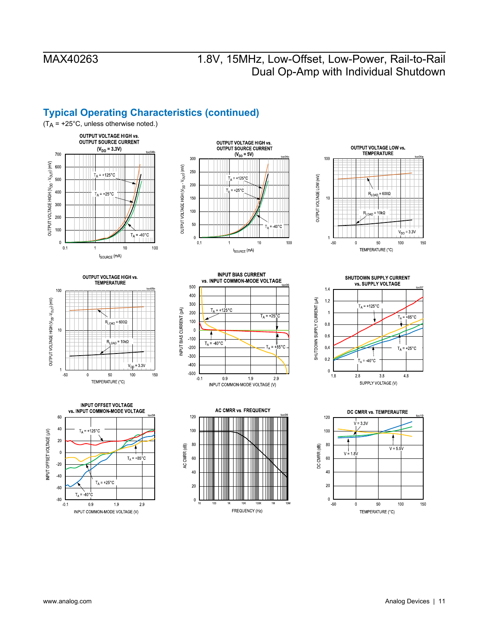## **Typical Operating Characteristics (continued)**



















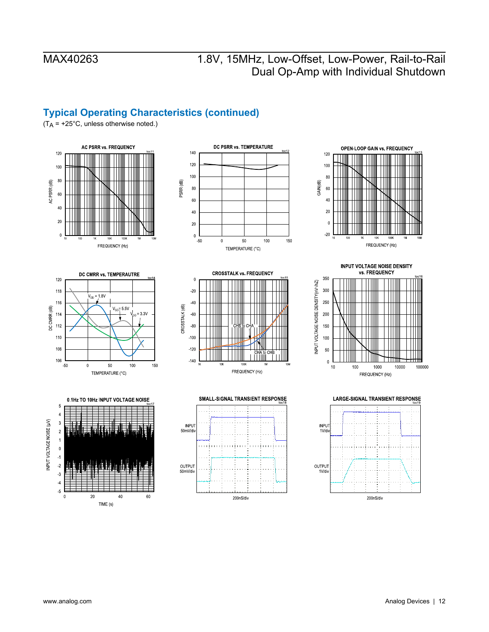### **Typical Operating Characteristics (continued)**

 $(T_A = +25^{\circ}C,$  unless otherwise noted.)









DC PSRR vs. TEMPERATURE















200nS/div

INPUT VOLTAGE NOISE (µV)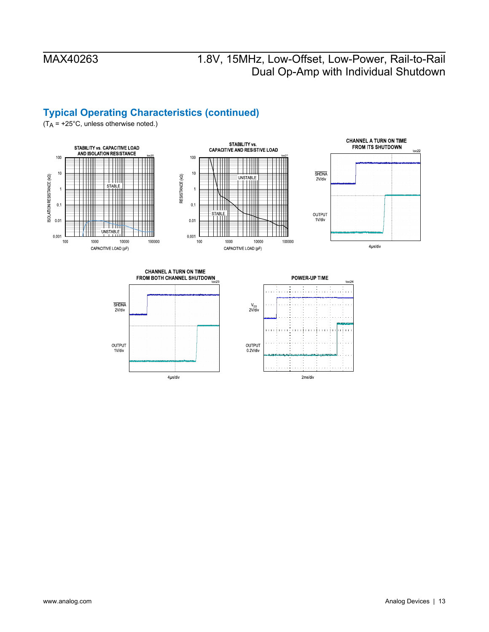$10c24$ 

## **Typical Operating Characteristics (continued)**

 $(T_A = +25^{\circ}C,$  unless otherwise noted.)



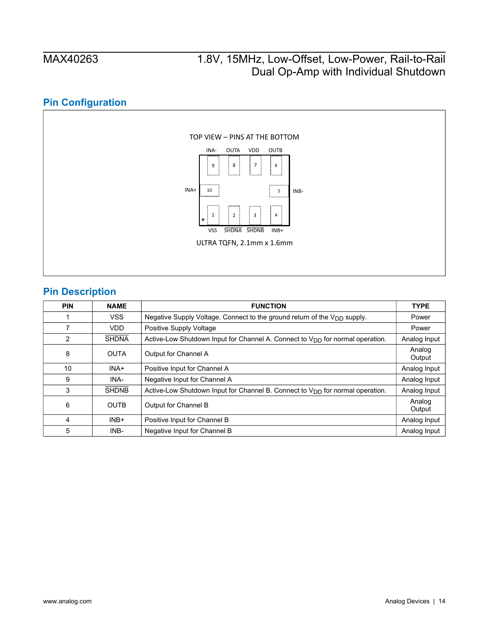## **Pin Configuration**

<span id="page-13-0"></span>

## <span id="page-13-1"></span>**Pin Description**

| <b>PIN</b> | <b>NAME</b>  | <b>FUNCTION</b>                                                                      | <b>TYPE</b>      |
|------------|--------------|--------------------------------------------------------------------------------------|------------------|
|            | <b>VSS</b>   | Negative Supply Voltage. Connect to the ground return of the V <sub>DD</sub> supply. | Power            |
| 7          | <b>VDD</b>   | Positive Supply Voltage                                                              | Power            |
| 2          | <b>SHDNA</b> | Active-Low Shutdown Input for Channel A. Connect to $V_{DD}$ for normal operation.   | Analog Input     |
| 8          | <b>OUTA</b>  | Output for Channel A                                                                 | Analog<br>Output |
| 10         | INA+         | Positive Input for Channel A                                                         | Analog Input     |
| 9          | INA-         | Negative Input for Channel A                                                         | Analog Input     |
| 3          | <b>SHDNB</b> | Active-Low Shutdown Input for Channel B. Connect to $V_{DD}$ for normal operation.   | Analog Input     |
| 6          | <b>OUTB</b>  | Output for Channel B                                                                 | Analog<br>Output |
| 4          | $INB+$       | Positive Input for Channel B                                                         | Analog Input     |
| 5          | INB-         | Negative Input for Channel B                                                         | Analog Input     |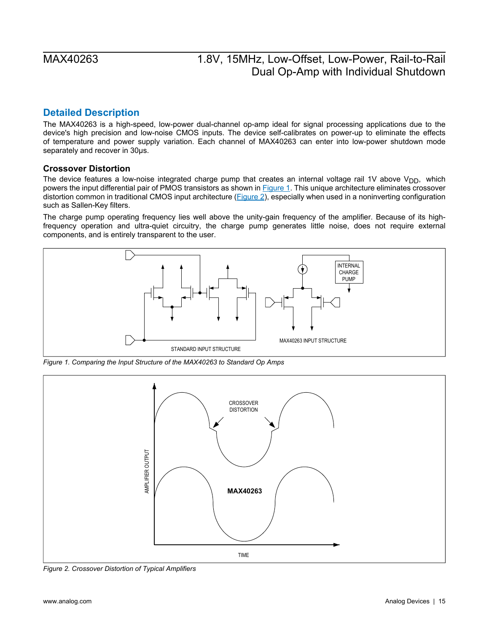### <span id="page-14-0"></span>**Detailed Description**

The MAX40263 is a high-speed, low-power dual-channel op-amp ideal for signal processing applications due to the device's high precision and low-noise CMOS inputs. The device self-calibrates on power-up to eliminate the effects of temperature and power supply variation. Each channel of MAX40263 can enter into low-power shutdown mode separately and recover in 30μs.

### <span id="page-14-1"></span>**Crossover Distortion**

The device features a low-noise integrated charge pump that creates an internal voltage rail 1V above  $V_{DD}$ , which powers the input differential pair of PMOS transistors as shown in **Figure 1**. This unique architecture eliminates crossover distortion common in traditional CMOS input architecture ([Figure 2](#page-14-3)), especially when used in a noninverting configuration such as Sallen-Key filters.

The charge pump operating frequency lies well above the unity-gain frequency of the amplifier. Because of its highfrequency operation and ultra-quiet circuitry, the charge pump generates little noise, does not require external components, and is entirely transparent to the user.

<span id="page-14-2"></span>

*Figure 1. Comparing the Input Structure of the MAX40263 to Standard Op Amps* 

<span id="page-14-3"></span>

*Figure 2. Crossover Distortion of Typical Amplifiers*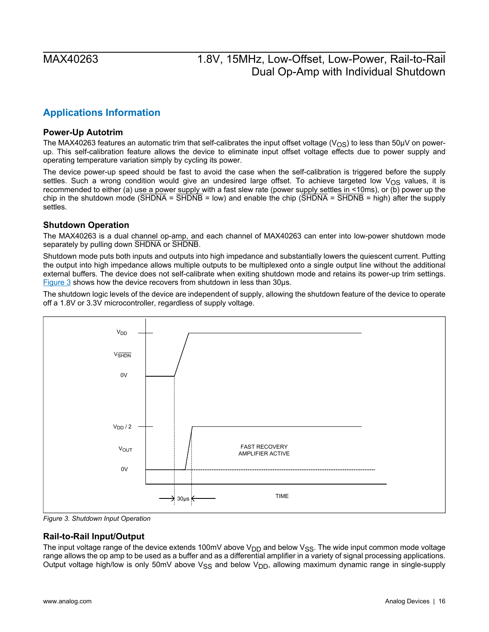## <span id="page-15-0"></span>**Applications Information**

### <span id="page-15-1"></span>**Power-Up Autotrim**

The MAX40263 features an automatic trim that self-calibrates the input offset voltage ( $V_{OS}$ ) to less than 50µV on powerup. This self-calibration feature allows the device to eliminate input offset voltage effects due to power supply and operating temperature variation simply by cycling its power.

The device power-up speed should be fast to avoid the case when the self-calibration is triggered before the supply settles. Such a wrong condition would give an undesired large offset. To achieve targeted low  $V_{OS}$  values, it is recommended to either (a) use a power supply with a fast slew rate (power supply settles in <10ms), or (b) power up the chip in the shutdown mode ( $\overline{SHDNA}$  =  $\overline{SHDNB}$  = low) and enable the chip ( $\overline{SHDNA}$  =  $\overline{SHDNB}$  = high) after the supply settles.

### <span id="page-15-2"></span>**Shutdown Operation**

The MAX40263 is a dual channel op-amp, and each channel of MAX40263 can enter into low-power shutdown mode separately by pulling down SHDNA or SHDNB.

Shutdown mode puts both inputs and outputs into high impedance and substantially lowers the quiescent current. Putting the output into high impedance allows multiple outputs to be multiplexed onto a single output line without the additional external buffers. The device does not self-calibrate when exiting shutdown mode and retains its power-up trim settings. [Figure 3](#page-15-4) shows how the device recovers from shutdown in less than 30µs.

The shutdown logic levels of the device are independent of supply, allowing the shutdown feature of the device to operate off a 1.8V or 3.3V microcontroller, regardless of supply voltage.

<span id="page-15-4"></span>

*Figure 3. Shutdown Input Operation* 

### <span id="page-15-3"></span>**Rail-to-Rail Input/Output**

The input voltage range of the device extends 100mV above  $V_{DD}$  and below  $V_{SS}$ . The wide input common mode voltage range allows the op amp to be used as a buffer and as a differential amplifier in a variety of signal processing applications. Output voltage high/low is only 50mV above  $V_{SS}$  and below  $V_{DD}$ , allowing maximum dynamic range in single-supply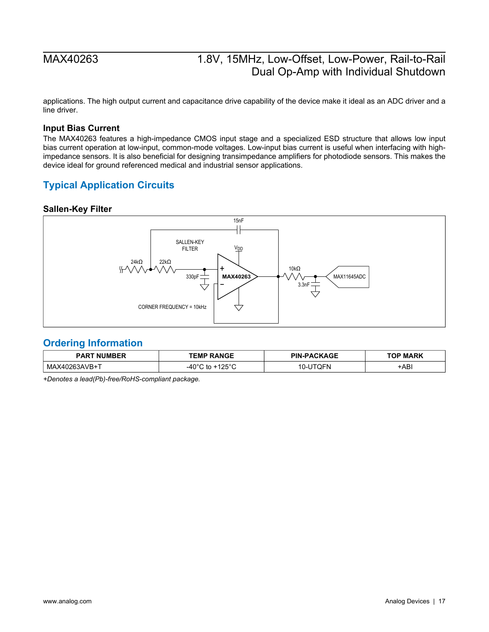applications. The high output current and capacitance drive capability of the device make it ideal as an ADC driver and a line driver.

### <span id="page-16-1"></span>**Input Bias Current**

The MAX40263 features a high-impedance CMOS input stage and a specialized ESD structure that allows low input bias current operation at low-input, common-mode voltages. Low-input bias current is useful when interfacing with highimpedance sensors. It is also beneficial for designing transimpedance amplifiers for photodiode sensors. This makes the device ideal for ground referenced medical and industrial sensor applications.

### <span id="page-16-2"></span>**Typical Application Circuits**

### <span id="page-16-3"></span>**Sallen-Key Filter**



### <span id="page-16-0"></span>**Ordering Information**

| NIIMRFR<br>PAR<br>NI | <b>TEMP RANGE</b> | <b>PACKAGE</b><br><b>PIN</b><br>$\sim$ $\sim$ | P MARK |
|----------------------|-------------------|-----------------------------------------------|--------|
| МA<br>. к 4 ! '      | 0.000<br>$\sim$   | ---                                           | -ABI   |

*+Denotes a lead(Pb)-free/RoHS-compliant package.*